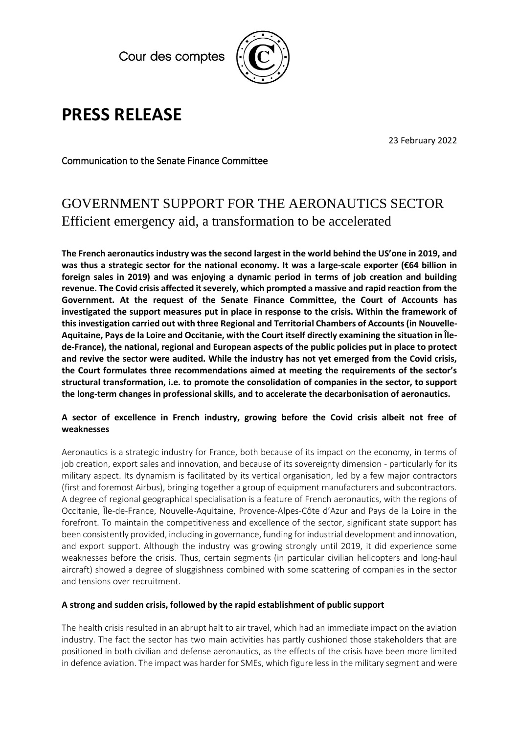Cour des comptes



# **PRESS RELEASE**

23 February 2022

Communication to the Senate Finance Committee

## GOVERNMENT SUPPORT FOR THE AERONAUTICS SECTOR Efficient emergency aid, a transformation to be accelerated

**The French aeronautics industry was the second largest in the world behind the US'one in 2019, and was thus a strategic sector for the national economy. It was a large-scale exporter (€64 billion in foreign sales in 2019) and was enjoying a dynamic period in terms of job creation and building revenue. The Covid crisis affected it severely, which prompted a massive and rapid reaction from the Government. At the request of the Senate Finance Committee, the Court of Accounts has investigated the support measures put in place in response to the crisis. Within the framework of this investigation carried out with three Regional and Territorial Chambers of Accounts (in Nouvelle-Aquitaine, Pays de la Loire and Occitanie, with the Court itself directly examining the situation in Îlede-France), the national, regional and European aspects of the public policies put in place to protect and revive the sector were audited. While the industry has not yet emerged from the Covid crisis, the Court formulates three recommendations aimed at meeting the requirements of the sector's structural transformation, i.e. to promote the consolidation of companies in the sector, to support the long-term changes in professional skills, and to accelerate the decarbonisation of aeronautics.**

### **A sector of excellence in French industry, growing before the Covid crisis albeit not free of weaknesses**

Aeronautics is a strategic industry for France, both because of its impact on the economy, in terms of job creation, export sales and innovation, and because of its sovereignty dimension - particularly for its military aspect. Its dynamism is facilitated by its vertical organisation, led by a few major contractors (first and foremost Airbus), bringing together a group of equipment manufacturers and subcontractors. A degree of regional geographical specialisation is a feature of French aeronautics, with the regions of Occitanie, Île-de-France, Nouvelle-Aquitaine, Provence-Alpes-Côte d'Azur and Pays de la Loire in the forefront. To maintain the competitiveness and excellence of the sector, significant state support has been consistently provided, including in governance, funding for industrial development and innovation, and export support. Although the industry was growing strongly until 2019, it did experience some weaknesses before the crisis. Thus, certain segments (in particular civilian helicopters and long-haul aircraft) showed a degree of sluggishness combined with some scattering of companies in the sector and tensions over recruitment.

### **A strong and sudden crisis, followed by the rapid establishment of public support**

The health crisis resulted in an abrupt halt to air travel, which had an immediate impact on the aviation industry. The fact the sector has two main activities has partly cushioned those stakeholders that are positioned in both civilian and defense aeronautics, as the effects of the crisis have been more limited in defence aviation. The impact was harder for SMEs, which figure less in the military segment and were